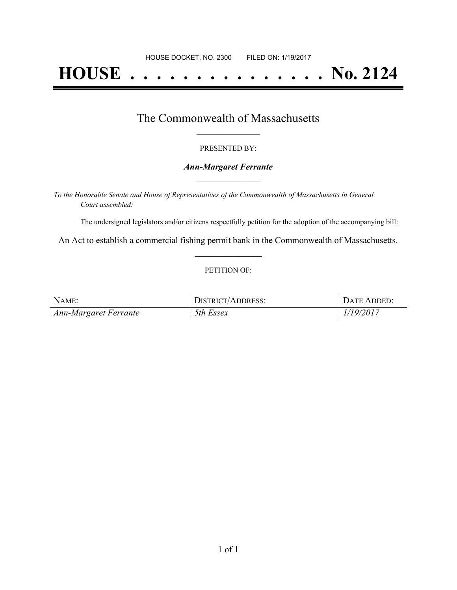# **HOUSE . . . . . . . . . . . . . . . No. 2124**

## The Commonwealth of Massachusetts **\_\_\_\_\_\_\_\_\_\_\_\_\_\_\_\_\_**

#### PRESENTED BY:

#### *Ann-Margaret Ferrante* **\_\_\_\_\_\_\_\_\_\_\_\_\_\_\_\_\_**

*To the Honorable Senate and House of Representatives of the Commonwealth of Massachusetts in General Court assembled:*

The undersigned legislators and/or citizens respectfully petition for the adoption of the accompanying bill:

An Act to establish a commercial fishing permit bank in the Commonwealth of Massachusetts. **\_\_\_\_\_\_\_\_\_\_\_\_\_\_\_**

#### PETITION OF:

| NAME:                 | DISTRICT/ADDRESS: | DATE ADDED: |
|-----------------------|-------------------|-------------|
| Ann-Margaret Ferrante | 5th Essex         | 1/19/2017   |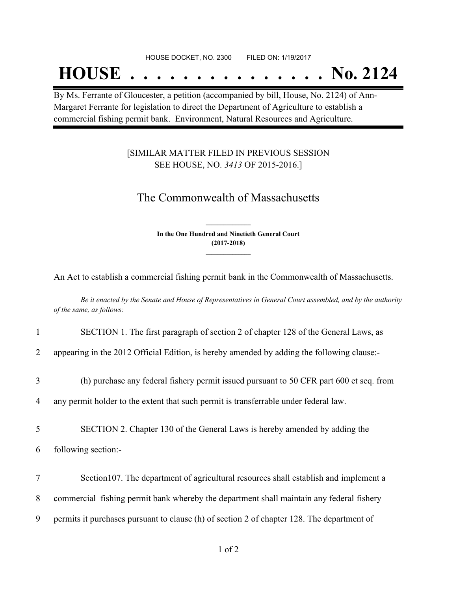## **HOUSE . . . . . . . . . . . . . . . No. 2124**

By Ms. Ferrante of Gloucester, a petition (accompanied by bill, House, No. 2124) of Ann-Margaret Ferrante for legislation to direct the Department of Agriculture to establish a commercial fishing permit bank. Environment, Natural Resources and Agriculture.

### [SIMILAR MATTER FILED IN PREVIOUS SESSION SEE HOUSE, NO. *3413* OF 2015-2016.]

## The Commonwealth of Massachusetts

**In the One Hundred and Ninetieth General Court (2017-2018) \_\_\_\_\_\_\_\_\_\_\_\_\_\_\_**

**\_\_\_\_\_\_\_\_\_\_\_\_\_\_\_**

An Act to establish a commercial fishing permit bank in the Commonwealth of Massachusetts.

Be it enacted by the Senate and House of Representatives in General Court assembled, and by the authority *of the same, as follows:*

1 SECTION 1. The first paragraph of section 2 of chapter 128 of the General Laws, as

2 appearing in the 2012 Official Edition, is hereby amended by adding the following clause:-

3 (h) purchase any federal fishery permit issued pursuant to 50 CFR part 600 et seq. from

4 any permit holder to the extent that such permit is transferrable under federal law.

5 SECTION 2. Chapter 130 of the General Laws is hereby amended by adding the

- 6 following section:-
- 7 Section107. The department of agricultural resources shall establish and implement a 8 commercial fishing permit bank whereby the department shall maintain any federal fishery 9 permits it purchases pursuant to clause (h) of section 2 of chapter 128. The department of